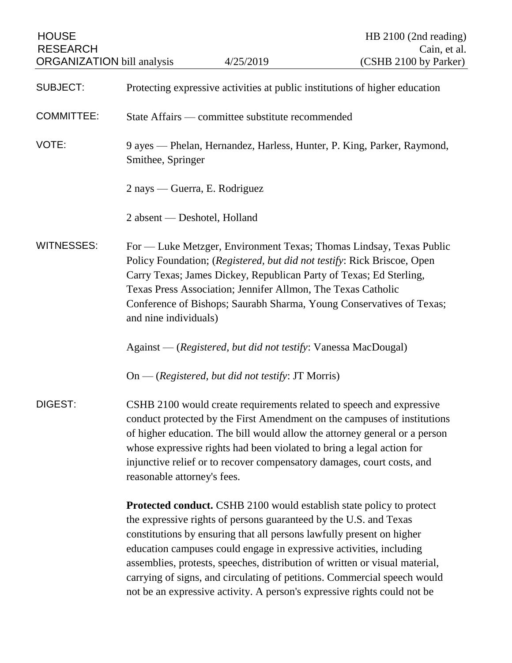| <b>HOUSE</b><br><b>RESEARCH</b><br><b>ORGANIZATION</b> bill analysis |                                                                                                                                                                                                                                                                                                                                                                                                                  | 4/25/2019                                                                                                                                                                                                         | HB 2100 (2nd reading)<br>Cain, et al.<br>(CSHB 2100 by Parker)                                                                                       |
|----------------------------------------------------------------------|------------------------------------------------------------------------------------------------------------------------------------------------------------------------------------------------------------------------------------------------------------------------------------------------------------------------------------------------------------------------------------------------------------------|-------------------------------------------------------------------------------------------------------------------------------------------------------------------------------------------------------------------|------------------------------------------------------------------------------------------------------------------------------------------------------|
|                                                                      |                                                                                                                                                                                                                                                                                                                                                                                                                  |                                                                                                                                                                                                                   |                                                                                                                                                      |
| <b>SUBJECT:</b>                                                      | Protecting expressive activities at public institutions of higher education                                                                                                                                                                                                                                                                                                                                      |                                                                                                                                                                                                                   |                                                                                                                                                      |
| <b>COMMITTEE:</b>                                                    | State Affairs — committee substitute recommended                                                                                                                                                                                                                                                                                                                                                                 |                                                                                                                                                                                                                   |                                                                                                                                                      |
| VOTE:                                                                | 9 ayes — Phelan, Hernandez, Harless, Hunter, P. King, Parker, Raymond,<br>Smithee, Springer                                                                                                                                                                                                                                                                                                                      |                                                                                                                                                                                                                   |                                                                                                                                                      |
|                                                                      | 2 nays — Guerra, E. Rodriguez                                                                                                                                                                                                                                                                                                                                                                                    |                                                                                                                                                                                                                   |                                                                                                                                                      |
|                                                                      | 2 absent — Deshotel, Holland                                                                                                                                                                                                                                                                                                                                                                                     |                                                                                                                                                                                                                   |                                                                                                                                                      |
| <b>WITNESSES:</b>                                                    | For - Luke Metzger, Environment Texas; Thomas Lindsay, Texas Public<br>Policy Foundation; (Registered, but did not testify: Rick Briscoe, Open<br>Carry Texas; James Dickey, Republican Party of Texas; Ed Sterling,<br>Texas Press Association; Jennifer Allmon, The Texas Catholic<br>Conference of Bishops; Saurabh Sharma, Young Conservatives of Texas;<br>and nine individuals)                            |                                                                                                                                                                                                                   |                                                                                                                                                      |
|                                                                      |                                                                                                                                                                                                                                                                                                                                                                                                                  | Against — (Registered, but did not testify: Vanessa MacDougal)                                                                                                                                                    |                                                                                                                                                      |
|                                                                      |                                                                                                                                                                                                                                                                                                                                                                                                                  | On — (Registered, but did not testify: JT Morris)                                                                                                                                                                 |                                                                                                                                                      |
| DIGEST:                                                              | CSHB 2100 would create requirements related to speech and expressive<br>conduct protected by the First Amendment on the campuses of institutions<br>of higher education. The bill would allow the attorney general or a person<br>whose expressive rights had been violated to bring a legal action for<br>injunctive relief or to recover compensatory damages, court costs, and<br>reasonable attorney's fees. |                                                                                                                                                                                                                   |                                                                                                                                                      |
|                                                                      |                                                                                                                                                                                                                                                                                                                                                                                                                  | the expressive rights of persons guaranteed by the U.S. and Texas<br>constitutions by ensuring that all persons lawfully present on higher<br>education campuses could engage in expressive activities, including | <b>Protected conduct.</b> CSHB 2100 would establish state policy to protect<br>Interior methods exceeding distribution of whitten on viewel metapied |

assemblies, protests, speeches, distribution of written or visual material, carrying of signs, and circulating of petitions. Commercial speech would not be an expressive activity. A person's expressive rights could not be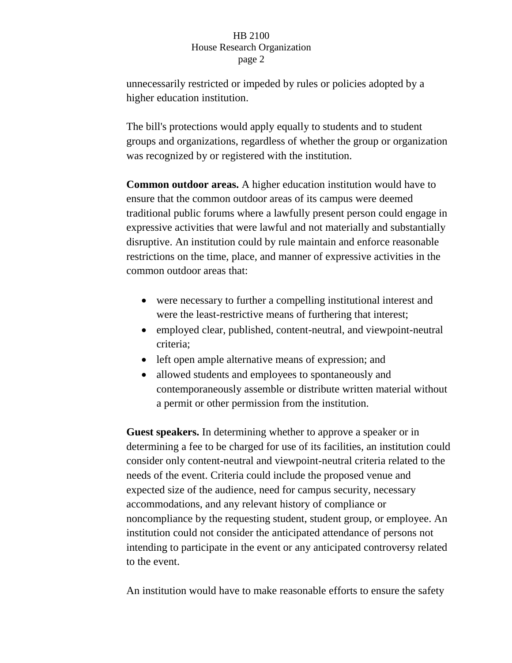unnecessarily restricted or impeded by rules or policies adopted by a higher education institution.

The bill's protections would apply equally to students and to student groups and organizations, regardless of whether the group or organization was recognized by or registered with the institution.

**Common outdoor areas.** A higher education institution would have to ensure that the common outdoor areas of its campus were deemed traditional public forums where a lawfully present person could engage in expressive activities that were lawful and not materially and substantially disruptive. An institution could by rule maintain and enforce reasonable restrictions on the time, place, and manner of expressive activities in the common outdoor areas that:

- were necessary to further a compelling institutional interest and were the least-restrictive means of furthering that interest;
- employed clear, published, content-neutral, and viewpoint-neutral criteria;
- left open ample alternative means of expression; and
- allowed students and employees to spontaneously and contemporaneously assemble or distribute written material without a permit or other permission from the institution.

**Guest speakers.** In determining whether to approve a speaker or in determining a fee to be charged for use of its facilities, an institution could consider only content-neutral and viewpoint-neutral criteria related to the needs of the event. Criteria could include the proposed venue and expected size of the audience, need for campus security, necessary accommodations, and any relevant history of compliance or noncompliance by the requesting student, student group, or employee. An institution could not consider the anticipated attendance of persons not intending to participate in the event or any anticipated controversy related to the event.

An institution would have to make reasonable efforts to ensure the safety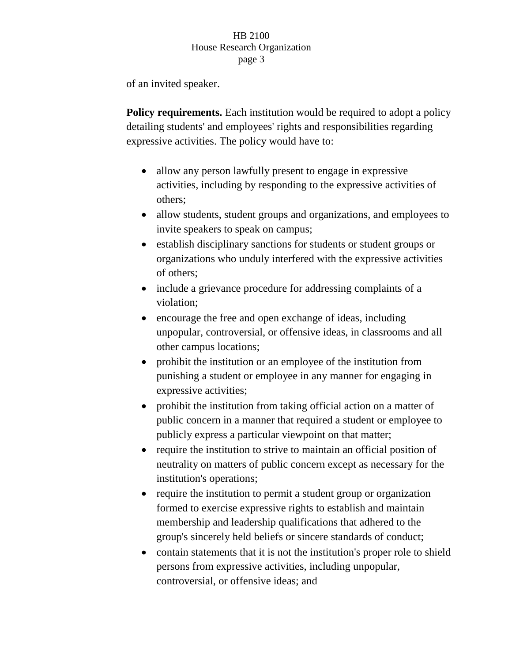of an invited speaker.

**Policy requirements.** Each institution would be required to adopt a policy detailing students' and employees' rights and responsibilities regarding expressive activities. The policy would have to:

- allow any person lawfully present to engage in expressive activities, including by responding to the expressive activities of others;
- allow students, student groups and organizations, and employees to invite speakers to speak on campus;
- establish disciplinary sanctions for students or student groups or organizations who unduly interfered with the expressive activities of others;
- include a grievance procedure for addressing complaints of a violation;
- encourage the free and open exchange of ideas, including unpopular, controversial, or offensive ideas, in classrooms and all other campus locations;
- prohibit the institution or an employee of the institution from punishing a student or employee in any manner for engaging in expressive activities;
- prohibit the institution from taking official action on a matter of public concern in a manner that required a student or employee to publicly express a particular viewpoint on that matter;
- require the institution to strive to maintain an official position of neutrality on matters of public concern except as necessary for the institution's operations;
- require the institution to permit a student group or organization formed to exercise expressive rights to establish and maintain membership and leadership qualifications that adhered to the group's sincerely held beliefs or sincere standards of conduct;
- contain statements that it is not the institution's proper role to shield persons from expressive activities, including unpopular, controversial, or offensive ideas; and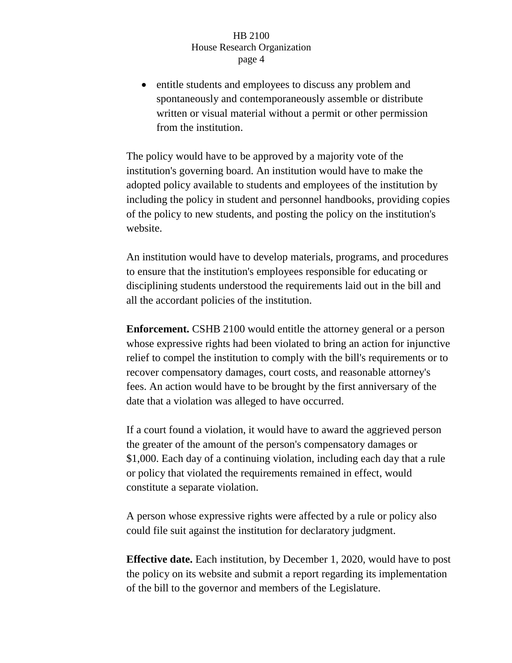entitle students and employees to discuss any problem and spontaneously and contemporaneously assemble or distribute written or visual material without a permit or other permission from the institution.

The policy would have to be approved by a majority vote of the institution's governing board. An institution would have to make the adopted policy available to students and employees of the institution by including the policy in student and personnel handbooks, providing copies of the policy to new students, and posting the policy on the institution's website.

An institution would have to develop materials, programs, and procedures to ensure that the institution's employees responsible for educating or disciplining students understood the requirements laid out in the bill and all the accordant policies of the institution.

**Enforcement.** CSHB 2100 would entitle the attorney general or a person whose expressive rights had been violated to bring an action for injunctive relief to compel the institution to comply with the bill's requirements or to recover compensatory damages, court costs, and reasonable attorney's fees. An action would have to be brought by the first anniversary of the date that a violation was alleged to have occurred.

If a court found a violation, it would have to award the aggrieved person the greater of the amount of the person's compensatory damages or \$1,000. Each day of a continuing violation, including each day that a rule or policy that violated the requirements remained in effect, would constitute a separate violation.

A person whose expressive rights were affected by a rule or policy also could file suit against the institution for declaratory judgment.

**Effective date.** Each institution, by December 1, 2020, would have to post the policy on its website and submit a report regarding its implementation of the bill to the governor and members of the Legislature.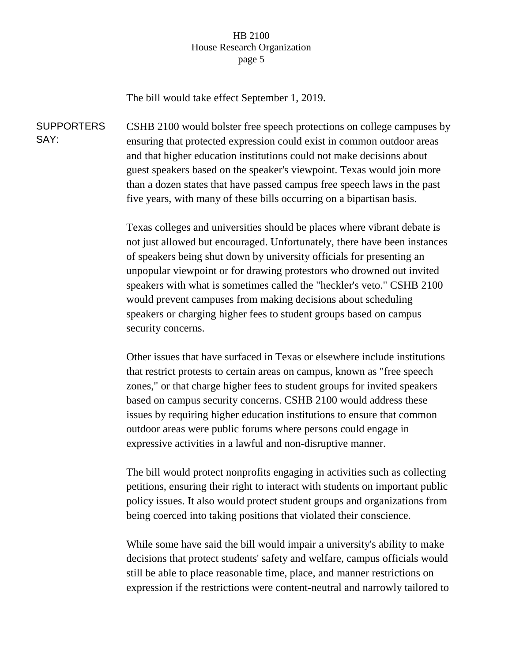The bill would take effect September 1, 2019.

**SUPPORTERS** SAY: CSHB 2100 would bolster free speech protections on college campuses by ensuring that protected expression could exist in common outdoor areas and that higher education institutions could not make decisions about guest speakers based on the speaker's viewpoint. Texas would join more than a dozen states that have passed campus free speech laws in the past five years, with many of these bills occurring on a bipartisan basis.

> Texas colleges and universities should be places where vibrant debate is not just allowed but encouraged. Unfortunately, there have been instances of speakers being shut down by university officials for presenting an unpopular viewpoint or for drawing protestors who drowned out invited speakers with what is sometimes called the "heckler's veto." CSHB 2100 would prevent campuses from making decisions about scheduling speakers or charging higher fees to student groups based on campus security concerns.

> Other issues that have surfaced in Texas or elsewhere include institutions that restrict protests to certain areas on campus, known as "free speech zones," or that charge higher fees to student groups for invited speakers based on campus security concerns. CSHB 2100 would address these issues by requiring higher education institutions to ensure that common outdoor areas were public forums where persons could engage in expressive activities in a lawful and non-disruptive manner.

> The bill would protect nonprofits engaging in activities such as collecting petitions, ensuring their right to interact with students on important public policy issues. It also would protect student groups and organizations from being coerced into taking positions that violated their conscience.

> While some have said the bill would impair a university's ability to make decisions that protect students' safety and welfare, campus officials would still be able to place reasonable time, place, and manner restrictions on expression if the restrictions were content-neutral and narrowly tailored to